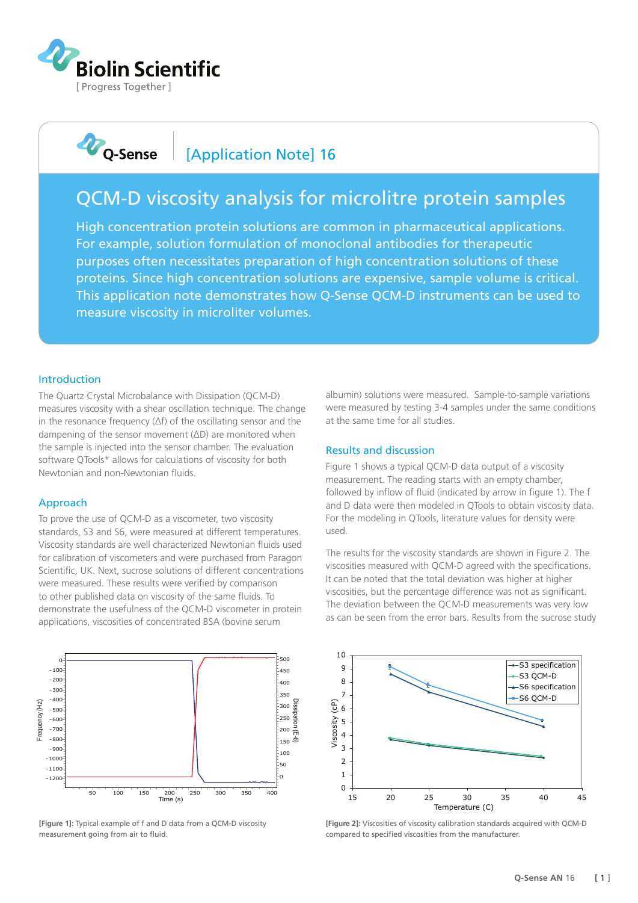

**D**Q-Sense

## [Application Note] 16

# QCM-D viscosity analysis for microlitre protein samples

High concentration protein solutions are common in pharmaceutical applications. For example, solution formulation of monoclonal antibodies for therapeutic purposes often necessitates preparation of high concentration solutions of these proteins. Since high concentration solutions are expensive, sample volume is critical. This application note demonstrates how Q-Sense QCM-D instruments can be used to measure viscosity in microliter volumes.

#### Introduction

The Quartz Crystal Microbalance with Dissipation (QCM-D) measures viscosity with a shear oscillation technique. The change in the resonance frequency (∆f) of the oscillating sensor and the dampening of the sensor movement (∆D) are monitored when the sample is injected into the sensor chamber. The evaluation software QTools\* allows for calculations of viscosity for both Newtonian and non-Newtonian fluids.

### Approach

To prove the use of QCM-D as a viscometer, two viscosity standards, S3 and S6, were measured at different temperatures. Viscosity standards are well characterized Newtonian fluids used for calibration of viscometers and were purchased from Paragon Scientific, UK. Next, sucrose solutions of different concentrations were measured. These results were verified by comparison to other published data on viscosity of the same fluids. To demonstrate the usefulness of the QCM-D viscometer in protein applications, viscosities of concentrated BSA (bovine serum



**[Figure 1]:** Typical example of f and D data from a QCM-D viscosity measurement going from air to fluid

albumin) solutions were measured. Sample-to-sample variations were measured by testing 3-4 samples under the same conditions at the same time for all studies.

#### Results and discussion

Figure 1 shows a typical QCM-D data output of a viscosity measurement. The reading starts with an empty chamber, followed by inflow of fluid (indicated by arrow in figure 1). The f and D data were then modeled in QTools to obtain viscosity data. For the modeling in QTools, literature values for density were used.

The results for the viscosity standards are shown in Figure 2. The viscosities measured with QCM-D agreed with the specifications. It can be noted that the total deviation was higher at higher viscosities, but the percentage difference was not as significant. The deviation between the QCM-D measurements was very low as can be seen from the error bars. Results from the sucrose study



**[Figure 2]:** Viscosities of viscosity calibration standards acquired with QCM-D compared to specified viscosities from the manufacturer.